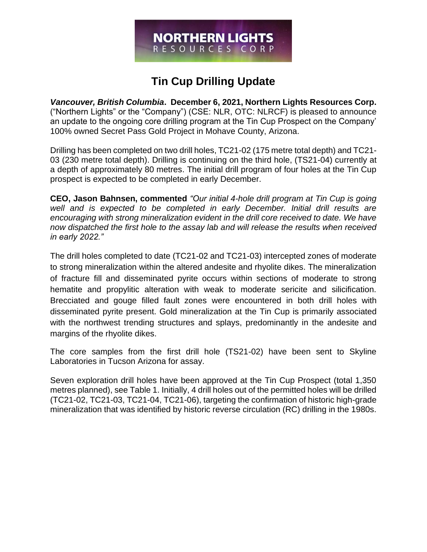# **NORTHERN LIGHTS** RESOURCES CORP

# **Tin Cup Drilling Update**

*Vancouver, British Columbia***. December 6, 2021, Northern Lights Resources Corp.**  ("Northern Lights" or the "Company") (CSE: NLR, OTC: NLRCF) is pleased to announce an update to the ongoing core drilling program at the Tin Cup Prospect on the Company' 100% owned Secret Pass Gold Project in Mohave County, Arizona.

Drilling has been completed on two drill holes, TC21-02 (175 metre total depth) and TC21- 03 (230 metre total depth). Drilling is continuing on the third hole, (TS21-04) currently at a depth of approximately 80 metres. The initial drill program of four holes at the Tin Cup prospect is expected to be completed in early December.

**CEO, Jason Bahnsen, commented** *"Our initial 4-hole drill program at Tin Cup is going well and is expected to be completed in early December. Initial drill results are encouraging with strong mineralization evident in the drill core received to date. We have now dispatched the first hole to the assay lab and will release the results when received in early 2022."*

The drill holes completed to date (TC21-02 and TC21-03) intercepted zones of moderate to strong mineralization within the altered andesite and rhyolite dikes. The mineralization of fracture fill and disseminated pyrite occurs within sections of moderate to strong hematite and propylitic alteration with weak to moderate sericite and silicification. Brecciated and gouge filled fault zones were encountered in both drill holes with disseminated pyrite present. Gold mineralization at the Tin Cup is primarily associated with the northwest trending structures and splays, predominantly in the andesite and margins of the rhyolite dikes.

The core samples from the first drill hole (TS21-02) have been sent to Skyline Laboratories in Tucson Arizona for assay.

Seven exploration drill holes have been approved at the Tin Cup Prospect (total 1,350 metres planned), see Table 1. Initially, 4 drill holes out of the permitted holes will be drilled (TC21-02, TC21-03, TC21-04, TC21-06), targeting the confirmation of historic high-grade mineralization that was identified by historic reverse circulation (RC) drilling in the 1980s.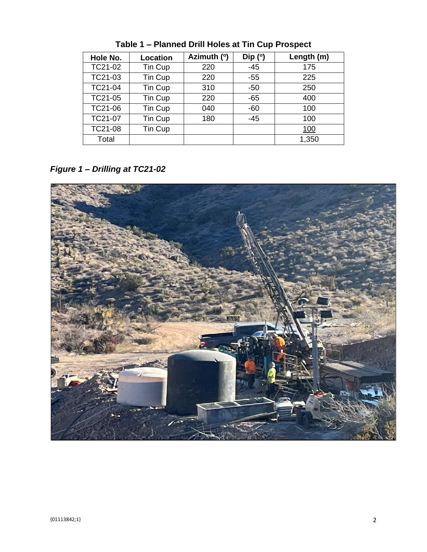| Hole No. | Location | Azimuth (°) | Dip $(°)$ | Length (m) |
|----------|----------|-------------|-----------|------------|
| TC21-02  | Tin Cup  | 220         | $-45$     | 175        |
| TC21-03  | Tin Cup  | 220         | $-55$     | 225        |
| TC21-04  | Tin Cup  | 310         | $-50$     | 250        |
| TC21-05  | Tin Cup  | 220         | $-65$     | 400        |
| TC21-06  | Tin Cup  | 040         | $-60$     | 100        |
| TC21-07  | Tin Cup  | 180         | $-45$     | 100        |
| TC21-08  | Tin Cup  |             |           | <u>100</u> |
| Total    |          |             |           | 1,350      |

**Table 1 – Planned Drill Holes at Tin Cup Prospect**

*Figure 1 – Drilling at TC21-02*

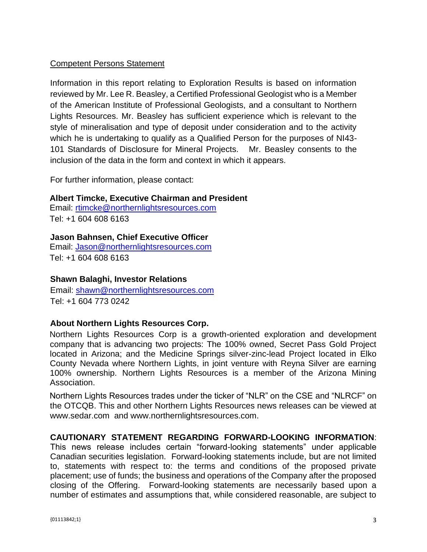# Competent Persons Statement

Information in this report relating to Exploration Results is based on information reviewed by Mr. Lee R. Beasley, a Certified Professional Geologist who is a Member of the American Institute of Professional Geologists, and a consultant to Northern Lights Resources. Mr. Beasley has sufficient experience which is relevant to the style of mineralisation and type of deposit under consideration and to the activity which he is undertaking to qualify as a Qualified Person for the purposes of NI43- 101 Standards of Disclosure for Mineral Projects. Mr. Beasley consents to the inclusion of the data in the form and context in which it appears.

For further information, please contact:

#### **Albert Timcke, Executive Chairman and President**

Email: rtimcke@northernlightsresources.com Tel: +1 604 608 6163

#### **Jason Bahnsen, Chief Executive Officer**

Email: Jason@northernlightsresources.com Tel: +1 604 608 6163

### **Shawn Balaghi, Investor Relations**

Email: [shawn@northernlightsresources.com](mailto:shawn@northernlightsresources.com) Tel: +1 604 773 0242

#### **About Northern Lights Resources Corp.**

Northern Lights Resources Corp is a growth-oriented exploration and development company that is advancing two projects: The 100% owned, Secret Pass Gold Project located in Arizona; and the Medicine Springs silver-zinc-lead Project located in Elko County Nevada where Northern Lights, in joint venture with Reyna Silver are earning 100% ownership. Northern Lights Resources is a member of the Arizona Mining Association.

Northern Lights Resources trades under the ticker of "NLR" on the CSE and "NLRCF" on the OTCQB. This and other Northern Lights Resources news releases can be viewed at [www.sedar.com](http://www.sedar.com/) and [www.northernlightsresources.com.](http://www.northernlightsresources.com/)

# **CAUTIONARY STATEMENT REGARDING FORWARD-LOOKING INFORMATION**:

This news release includes certain "forward-looking statements" under applicable Canadian securities legislation. Forward-looking statements include, but are not limited to, statements with respect to: the terms and conditions of the proposed private placement; use of funds; the business and operations of the Company after the proposed closing of the Offering. Forward-looking statements are necessarily based upon a number of estimates and assumptions that, while considered reasonable, are subject to